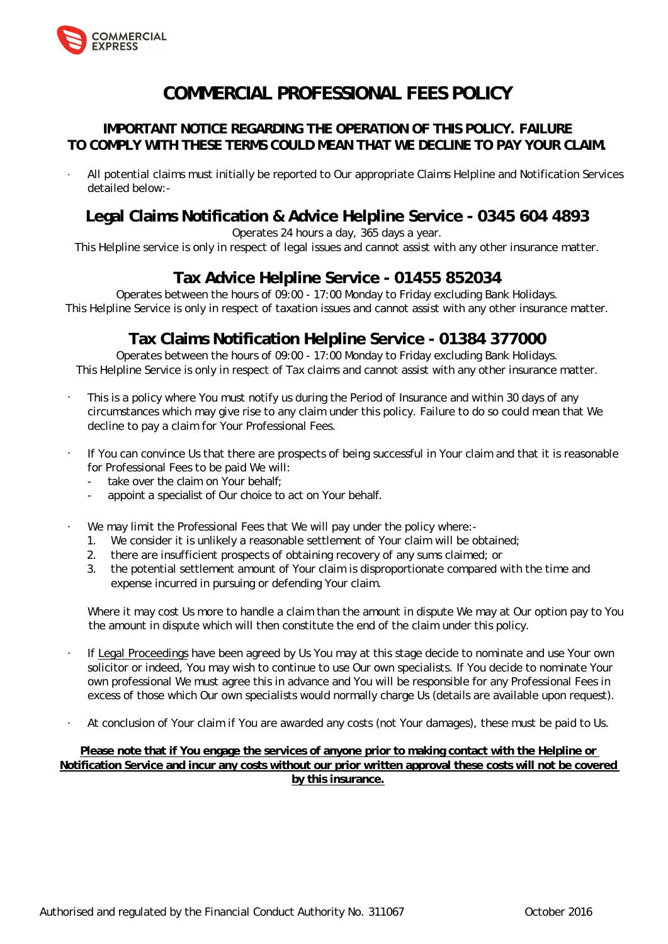

# **COMMERCIAL PROFESSIONAL FEES POLICY**

## **IMPORTANT NOTICE REGARDING THE OPERATION OF THIS POLICY. FAILURE TO COMPLY WITH THESE TERMS COULD MEAN THAT WE DECLINE TO PAY YOUR CLAIM.**

• All potential claims must initially be reported to Our appropriate Claims Helpline and Notification Services detailed below:-

# **Legal Claims Notification & Advice Helpline Service - 0345 604 4893**

### Operates 24 hours a day, 365 days a year.

This Helpline service is only in respect of legal issues and cannot assist with any other insurance matter.

## **Tax Advice Helpline Service - 01455 852034**

Operates between the hours of 09:00 - 17:00 Monday to Friday excluding Bank Holidays. This Helpline Service is only in respect of taxation issues and cannot assist with any other insurance matter.

## **Tax Claims Notification Helpline Service - 01384 377000**

Operates between the hours of 09:00 - 17:00 Monday to Friday excluding Bank Holidays. This Helpline Service is only in respect of Tax claims and cannot assist with any other insurance matter.

- This is a policy where You must notify us during the Period of Insurance and within 30 days of any circumstances which may give rise to any claim under this policy. Failure to do so could mean that We decline to pay a claim for Your Professional Fees.
- If You can convince Us that there are prospects of being successful in Your claim and that it is reasonable for Professional Fees to be paid We will:
	- take over the claim on Your behalf:
	- appoint a specialist of Our choice to act on Your behalf.
- We may limit the Professional Fees that We will pay under the policy where:-
	- 1. We consider it is unlikely a reasonable settlement of Your claim will be obtained;
	- 2. there are insufficient prospects of obtaining recovery of any sums claimed; or
	- 3. the potential settlement amount of Your claim is disproportionate compared with the time and expense incurred in pursuing or defending Your claim.

Where it may cost Us more to handle a claim than the amount in dispute We may at Our option pay to You the amount in dispute which will then constitute the end of the claim under this policy.

- If Legal Proceedings have been agreed by Us You may at this stage decide to nominate and use Your own solicitor or indeed, You may wish to continue to use Our own specialists. If You decide to nominate Your own professional We must agree this in advance and You will be responsible for any Professional Fees in excess of those which Our own specialists would normally charge Us (details are available upon request).
- At conclusion of Your claim if You are awarded any costs (not Your damages), these must be paid to Us.

**Please note that if You engage the services of anyone prior to making contact with the Helpline or Notification Service and incur any costs without our prior written approval these costs will not be covered by this insurance.**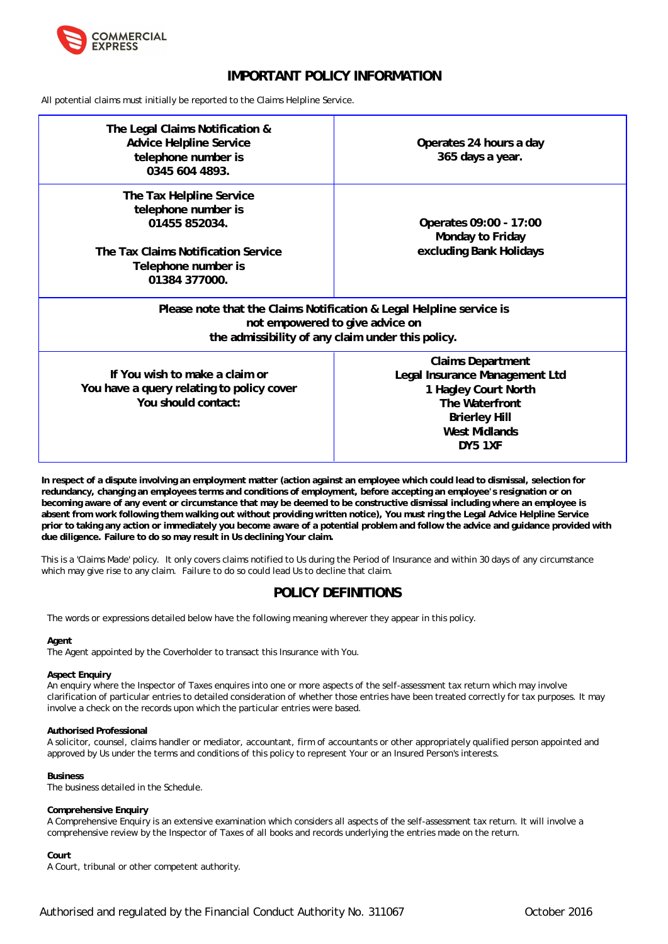

## **IMPORTANT POLICY INFORMATION**

All potential claims must initially be reported to the Claims Helpline Service.

| The Legal Claims Notification &<br>Advice Helpline Service<br>telephone number is<br>0345 604 4893.                                                          | Operates 24 hours a day<br>365 days a year.                                                                                                              |  |
|--------------------------------------------------------------------------------------------------------------------------------------------------------------|----------------------------------------------------------------------------------------------------------------------------------------------------------|--|
| The Tax Helpline Service<br>telephone number is<br>01455 852034.<br>The Tax Claims Notification Service<br>Telephone number is<br>01384 377000.              | Operates 09:00 - 17:00<br>Monday to Friday<br>excluding Bank Holidays                                                                                    |  |
| Please note that the Claims Notification & Legal Helpline service is<br>not empowered to give advice on<br>the admissibility of any claim under this policy. |                                                                                                                                                          |  |
| If You wish to make a claim or<br>You have a query relating to policy cover<br>You should contact:                                                           | <b>Claims Department</b><br>Legal Insurance Management Ltd<br>1 Hagley Court North<br>The Waterfront<br><b>Brierley Hill</b><br>West Midlands<br>DY5 1XF |  |

**In respect of a dispute involving an employment matter (action against an employee which could lead to dismissal, selection for redundancy, changing an employees terms and conditions of employment, before accepting an employee's resignation or on becoming aware of any event or circumstance that may be deemed to be constructive dismissal including where an employee is absent from work following them walking out without providing written notice), You must ring the Legal Advice Helpline Service prior to taking any action or immediately you become aware of a potential problem and follow the advice and guidance provided with due diligence. Failure to do so may result in Us declining Your claim.**

This is a 'Claims Made' policy. It only covers claims notified to Us during the Period of Insurance and within 30 days of any circumstance which may give rise to any claim. Failure to do so could lead Us to decline that claim.

## **POLICY DEFINITIONS**

The words or expressions detailed below have the following meaning wherever they appear in this policy.

### **Agent**

The Agent appointed by the Coverholder to transact this Insurance with You.

### **Aspect Enquiry**

An enquiry where the Inspector of Taxes enquires into one or more aspects of the self-assessment tax return which may involve clarification of particular entries to detailed consideration of whether those entries have been treated correctly for tax purposes. It may involve a check on the records upon which the particular entries were based.

### **Authorised Professional**

A solicitor, counsel, claims handler or mediator, accountant, firm of accountants or other appropriately qualified person appointed and approved by Us under the terms and conditions of this policy to represent Your or an Insured Person's interests.

### **Business**

The business detailed in the Schedule.

### **Comprehensive Enquiry**

A Comprehensive Enquiry is an extensive examination which considers all aspects of the self-assessment tax return. It will involve a comprehensive review by the Inspector of Taxes of all books and records underlying the entries made on the return.

**Court**

A Court, tribunal or other competent authority.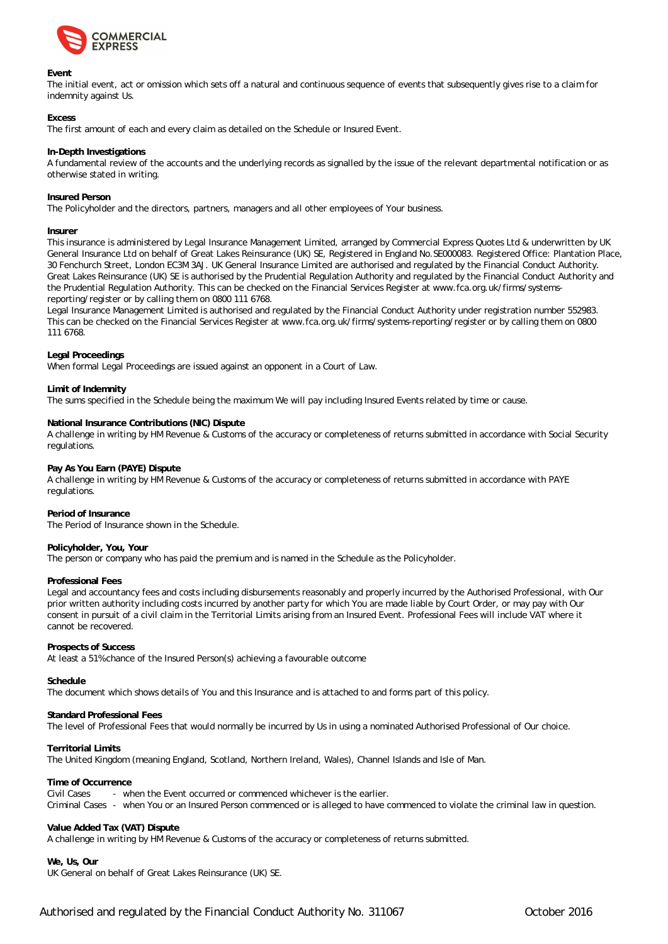

### **Event**

The initial event, act or omission which sets off a natural and continuous sequence of events that subsequently gives rise to a claim for indemnity against Us.

### **Excess**

The first amount of each and every claim as detailed on the Schedule or Insured Event.

### **In-Depth Investigations**

A fundamental review of the accounts and the underlying records as signalled by the issue of the relevant departmental notification or as otherwise stated in writing.

### **Insured Person**

The Policyholder and the directors, partners, managers and all other employees of Your business.

#### **Insurer**

This insurance is administered by Legal Insurance Management Limited, arranged by Commercial Express Quotes Ltd & underwritten by UK General Insurance Ltd on behalf of Great Lakes Reinsurance (UK) SE, Registered in England No.SE000083. Registered Office: Plantation Place, 30 Fenchurch Street, London EC3M 3AJ. UK General Insurance Limited are authorised and regulated by the Financial Conduct Authority. Great Lakes Reinsurance (UK) SE is authorised by the Prudential Regulation Authority and regulated by the Financial Conduct Authority and the Prudential Regulation Authority. This can be checked on the Financial Services Register at ww[w.fca.org.uk/firms/systems](www.fca.org.uk/firms/systems-)reporting/register or by calling them on 0800 111 6768.

Legal Insurance Management Limited is authorised and regulated by the Financial Conduct Authority under registration number 552983. This can be checked on the Financial Services Register at w[ww.fca.org.uk/firms/systems-reporting/register or by](www.fca.org.uk/firms/systems-reporting/register) calling them on 0800 111 6768.

#### **Legal Proceedings**

When formal Legal Proceedings are issued against an opponent in a Court of Law.

### **Limit of Indemnity**

The sums specified in the Schedule being the maximum We will pay including Insured Events related by time or cause.

### **National Insurance Contributions (NIC) Dispute**

A challenge in writing by HM Revenue & Customs of the accuracy or completeness of returns submitted in accordance with Social Security regulations.

#### **Pay As You Earn (PAYE) Dispute**

A challenge in writing by HM Revenue & Customs of the accuracy or completeness of returns submitted in accordance with PAYE regulations.

### **Period of Insurance**

The Period of Insurance shown in the Schedule.

### **Policyholder, You, Your**

The person or company who has paid the premium and is named in the Schedule as the Policyholder.

### **Professional Fees**

Legal and accountancy fees and costs including disbursements reasonably and properly incurred by the Authorised Professional, with Our prior written authority including costs incurred by another party for which You are made liable by Court Order, or may pay with Our consent in pursuit of a civil claim in the Territorial Limits arising from an Insured Event. Professional Fees will include VAT where it cannot be recovered.

#### **Prospects of Success**

At least a 51% chance of the Insured Person(s) achieving a favourable outcome

#### **Schedule**

The document which shows details of You and this Insurance and is attached to and forms part of this policy.

### **Standard Professional Fees**

The level of Professional Fees that would normally be incurred by Us in using a nominated Authorised Professional of Our choice.

### **Territorial Limits**

The United Kingdom (meaning England, Scotland, Northern Ireland, Wales), Channel Islands and Isle of Man.

#### **Time of Occurrence**

Civil Cases - when the Event occurred or commenced whichever is the earlier. Criminal Cases - when You or an Insured Person commenced or is alleged to have commenced to violate the criminal law in question.

### **Value Added Tax (VAT) Dispute**

A challenge in writing by HM Revenue & Customs of the accuracy or completeness of returns submitted.

**We, Us, Our**

UK General on behalf of Great Lakes Reinsurance (UK) SE.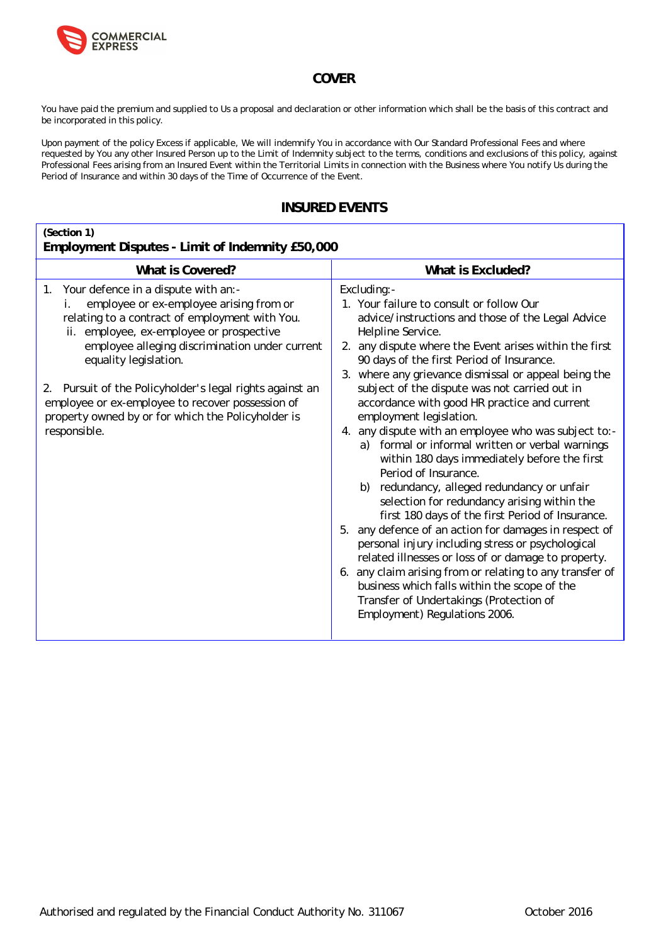

## **COVER**

You have paid the premium and supplied to Us a proposal and declaration or other information which shall be the basis of this contract and be incorporated in this policy.

Upon payment of the policy Excess if applicable, We will indemnify You in accordance with Our Standard Professional Fees and where requested by You any other Insured Person up to the Limit of Indemnity subject to the terms, conditions and exclusions of this policy, against Professional Fees arising from an Insured Event within the Territorial Limits in connection with the Business where You notify Us during the Period of Insurance and within 30 days of the Time of Occurrence of the Event.

## **INSURED EVENTS**

| (Section 1)<br>Employment Disputes - Limit of Indemnity £50,000                                                                                                                                                                                                                                                                                                                                                                                           |                                                                                                                                                                                                                                                                                                                                                                                                                                                                                                                                                                                                                                                                                                                                                                                                                                                                                                                                                                                                                                                                                                                                       |
|-----------------------------------------------------------------------------------------------------------------------------------------------------------------------------------------------------------------------------------------------------------------------------------------------------------------------------------------------------------------------------------------------------------------------------------------------------------|---------------------------------------------------------------------------------------------------------------------------------------------------------------------------------------------------------------------------------------------------------------------------------------------------------------------------------------------------------------------------------------------------------------------------------------------------------------------------------------------------------------------------------------------------------------------------------------------------------------------------------------------------------------------------------------------------------------------------------------------------------------------------------------------------------------------------------------------------------------------------------------------------------------------------------------------------------------------------------------------------------------------------------------------------------------------------------------------------------------------------------------|
| What is Covered?                                                                                                                                                                                                                                                                                                                                                                                                                                          | What is Excluded?                                                                                                                                                                                                                                                                                                                                                                                                                                                                                                                                                                                                                                                                                                                                                                                                                                                                                                                                                                                                                                                                                                                     |
| Your defence in a dispute with an:-<br>1.<br>employee or ex-employee arising from or<br>İ.<br>relating to a contract of employment with You.<br>ii. employee, ex-employee or prospective<br>employee alleging discrimination under current<br>equality legislation.<br>2. Pursuit of the Policyholder's legal rights against an<br>employee or ex-employee to recover possession of<br>property owned by or for which the Policyholder is<br>responsible. | Excluding:-<br>1. Your failure to consult or follow Our<br>advice/instructions and those of the Legal Advice<br>Helpline Service.<br>2. any dispute where the Event arises within the first<br>90 days of the first Period of Insurance.<br>3. where any grievance dismissal or appeal being the<br>subject of the dispute was not carried out in<br>accordance with good HR practice and current<br>employment legislation.<br>4. any dispute with an employee who was subject to:-<br>a) formal or informal written or verbal warnings<br>within 180 days immediately before the first<br>Period of Insurance.<br>redundancy, alleged redundancy or unfair<br>b)<br>selection for redundancy arising within the<br>first 180 days of the first Period of Insurance.<br>any defence of an action for damages in respect of<br>5.<br>personal injury including stress or psychological<br>related illnesses or loss of or damage to property.<br>6. any claim arising from or relating to any transfer of<br>business which falls within the scope of the<br>Transfer of Undertakings (Protection of<br>Employment) Regulations 2006. |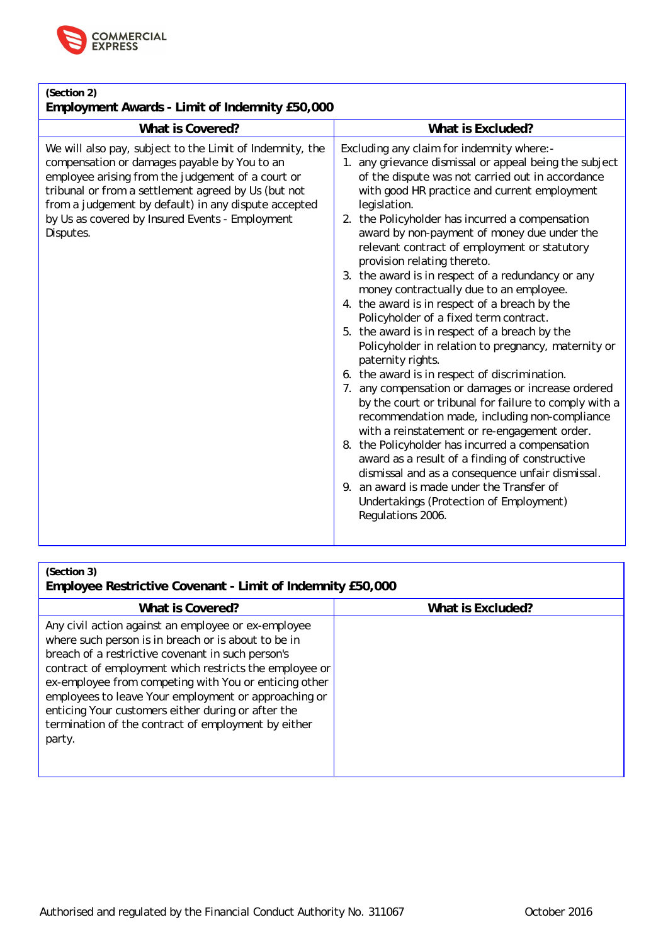

| (Section 2)<br>Employment Awards - Limit of Indemnity £50,000                                                                                                                                                                                                                                                                                |                                                                                                                                                                                                                                                                                                                                                                                                                                                                                                                                                                                                                                                                                                                                                                                                                                                                                                                                                                                                                                                                                                                                                                                                                                                                         |
|----------------------------------------------------------------------------------------------------------------------------------------------------------------------------------------------------------------------------------------------------------------------------------------------------------------------------------------------|-------------------------------------------------------------------------------------------------------------------------------------------------------------------------------------------------------------------------------------------------------------------------------------------------------------------------------------------------------------------------------------------------------------------------------------------------------------------------------------------------------------------------------------------------------------------------------------------------------------------------------------------------------------------------------------------------------------------------------------------------------------------------------------------------------------------------------------------------------------------------------------------------------------------------------------------------------------------------------------------------------------------------------------------------------------------------------------------------------------------------------------------------------------------------------------------------------------------------------------------------------------------------|
| What is Covered?                                                                                                                                                                                                                                                                                                                             | What is Excluded?                                                                                                                                                                                                                                                                                                                                                                                                                                                                                                                                                                                                                                                                                                                                                                                                                                                                                                                                                                                                                                                                                                                                                                                                                                                       |
| We will also pay, subject to the Limit of Indemnity, the<br>compensation or damages payable by You to an<br>employee arising from the judgement of a court or<br>tribunal or from a settlement agreed by Us (but not<br>from a judgement by default) in any dispute accepted<br>by Us as covered by Insured Events - Employment<br>Disputes. | Excluding any claim for indemnity where:-<br>1. any grievance dismissal or appeal being the subject<br>of the dispute was not carried out in accordance<br>with good HR practice and current employment<br>legislation.<br>2. the Policyholder has incurred a compensation<br>award by non-payment of money due under the<br>relevant contract of employment or statutory<br>provision relating thereto.<br>3. the award is in respect of a redundancy or any<br>money contractually due to an employee.<br>4. the award is in respect of a breach by the<br>Policyholder of a fixed term contract.<br>5. the award is in respect of a breach by the<br>Policyholder in relation to pregnancy, maternity or<br>paternity rights.<br>6. the award is in respect of discrimination.<br>7. any compensation or damages or increase ordered<br>by the court or tribunal for failure to comply with a<br>recommendation made, including non-compliance<br>with a reinstatement or re-engagement order.<br>8. the Policyholder has incurred a compensation<br>award as a result of a finding of constructive<br>dismissal and as a consequence unfair dismissal.<br>9. an award is made under the Transfer of<br>Undertakings (Protection of Employment)<br>Regulations 2006. |

| (Section 3) |  |
|-------------|--|
|             |  |

**Employee Restrictive Covenant - Limit of Indemnity £50,000**

| What is Covered?                                                                                                                                                                                                                                                                                                                                                                                                                                                  | What is Excluded? |
|-------------------------------------------------------------------------------------------------------------------------------------------------------------------------------------------------------------------------------------------------------------------------------------------------------------------------------------------------------------------------------------------------------------------------------------------------------------------|-------------------|
| Any civil action against an employee or ex-employee<br>where such person is in breach or is about to be in<br>breach of a restrictive covenant in such person's<br>contract of employment which restricts the employee or<br>ex-employee from competing with You or enticing other<br>employees to leave Your employment or approaching or<br>enticing Your customers either during or after the<br>termination of the contract of employment by either<br>party. |                   |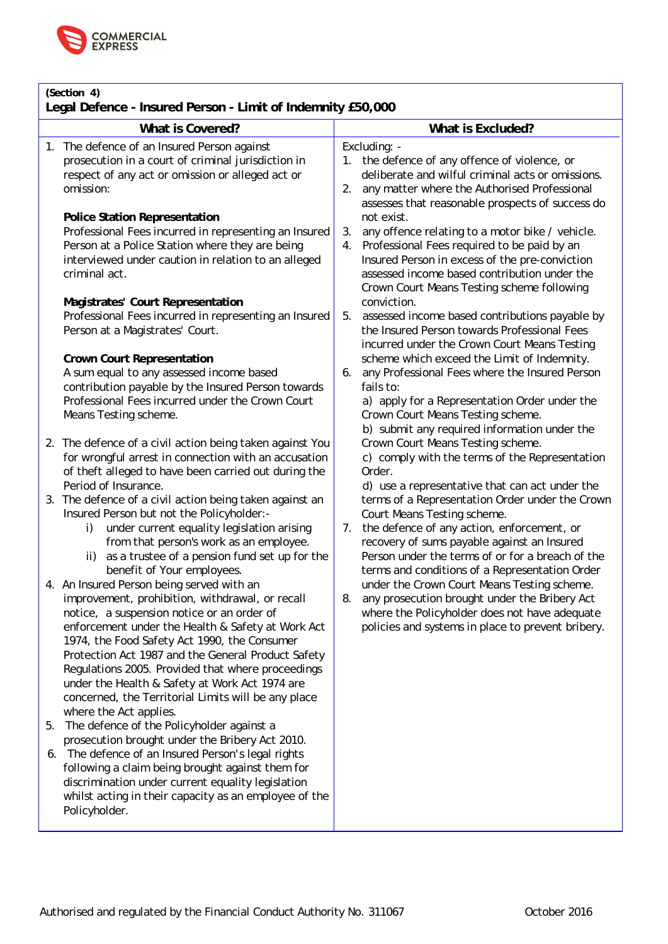

| (Section 4)<br>Legal Defence - Insured Person - Limit of Indemnity £50,000                                                                                                                                                                                                                                                                                                                                                                                                                    |                                                                                                                                                                                                                                                                                         |  |  |
|-----------------------------------------------------------------------------------------------------------------------------------------------------------------------------------------------------------------------------------------------------------------------------------------------------------------------------------------------------------------------------------------------------------------------------------------------------------------------------------------------|-----------------------------------------------------------------------------------------------------------------------------------------------------------------------------------------------------------------------------------------------------------------------------------------|--|--|
| What is Covered?                                                                                                                                                                                                                                                                                                                                                                                                                                                                              | What is Excluded?                                                                                                                                                                                                                                                                       |  |  |
| 1. The defence of an Insured Person against<br>prosecution in a court of criminal jurisdiction in<br>respect of any act or omission or alleged act or<br>omission:                                                                                                                                                                                                                                                                                                                            | Excluding: -<br>the defence of any offence of violence, or<br>deliberate and wilful criminal acts or omissions.<br>any matter where the Authorised Professional<br>2.<br>assesses that reasonable prospects of success do                                                               |  |  |
| Police Station Representation<br>Professional Fees incurred in representing an Insured<br>Person at a Police Station where they are being<br>interviewed under caution in relation to an alleged<br>criminal act.                                                                                                                                                                                                                                                                             | not exist.<br>any offence relating to a motor bike / vehicle.<br>3.<br>Professional Fees required to be paid by an<br>4.<br>Insured Person in excess of the pre-conviction<br>assessed income based contribution under the<br>Crown Court Means Testing scheme following                |  |  |
| Magistrates' Court Representation<br>Professional Fees incurred in representing an Insured<br>Person at a Magistrates' Court.                                                                                                                                                                                                                                                                                                                                                                 | conviction.<br>5.<br>assessed income based contributions payable by<br>the Insured Person towards Professional Fees<br>incurred under the Crown Court Means Testing                                                                                                                     |  |  |
| Crown Court Representation<br>A sum equal to any assessed income based<br>contribution payable by the Insured Person towards<br>Professional Fees incurred under the Crown Court<br>Means Testing scheme.                                                                                                                                                                                                                                                                                     | scheme which exceed the Limit of Indemnity.<br>any Professional Fees where the Insured Person<br>6.<br>fails to:<br>a) apply for a Representation Order under the<br>Crown Court Means Testing scheme.<br>b) submit any required information under the                                  |  |  |
| 2. The defence of a civil action being taken against You<br>for wrongful arrest in connection with an accusation<br>of theft alleged to have been carried out during the<br>Period of Insurance.                                                                                                                                                                                                                                                                                              | Crown Court Means Testing scheme.<br>c) comply with the terms of the Representation<br>Order.<br>d) use a representative that can act under the                                                                                                                                         |  |  |
| 3. The defence of a civil action being taken against an<br>Insured Person but not the Policyholder:-<br>under current equality legislation arising<br>i)<br>from that person's work as an employee.<br>as a trustee of a pension fund set up for the<br>ii)<br>benefit of Your employees.                                                                                                                                                                                                     | terms of a Representation Order under the Crown<br>Court Means Testing scheme.<br>the defence of any action, enforcement, or<br>7.<br>recovery of sums payable against an Insured<br>Person under the terms of or for a breach of the<br>terms and conditions of a Representation Order |  |  |
| 4. An Insured Person being served with an<br>improvement, prohibition, withdrawal, or recall<br>notice, a suspension notice or an order of<br>enforcement under the Health & Safety at Work Act<br>1974, the Food Safety Act 1990, the Consumer<br>Protection Act 1987 and the General Product Safety<br>Regulations 2005. Provided that where proceedings<br>under the Health & Safety at Work Act 1974 are<br>concerned, the Territorial Limits will be any place<br>where the Act applies. | under the Crown Court Means Testing scheme.<br>8.<br>any prosecution brought under the Bribery Act<br>where the Policyholder does not have adequate<br>policies and systems in place to prevent bribery.                                                                                |  |  |
| The defence of the Policyholder against a<br>5.<br>prosecution brought under the Bribery Act 2010.<br>The defence of an Insured Person's legal rights<br>6.<br>following a claim being brought against them for<br>discrimination under current equality legislation<br>whilst acting in their capacity as an employee of the<br>Policyholder.                                                                                                                                                |                                                                                                                                                                                                                                                                                         |  |  |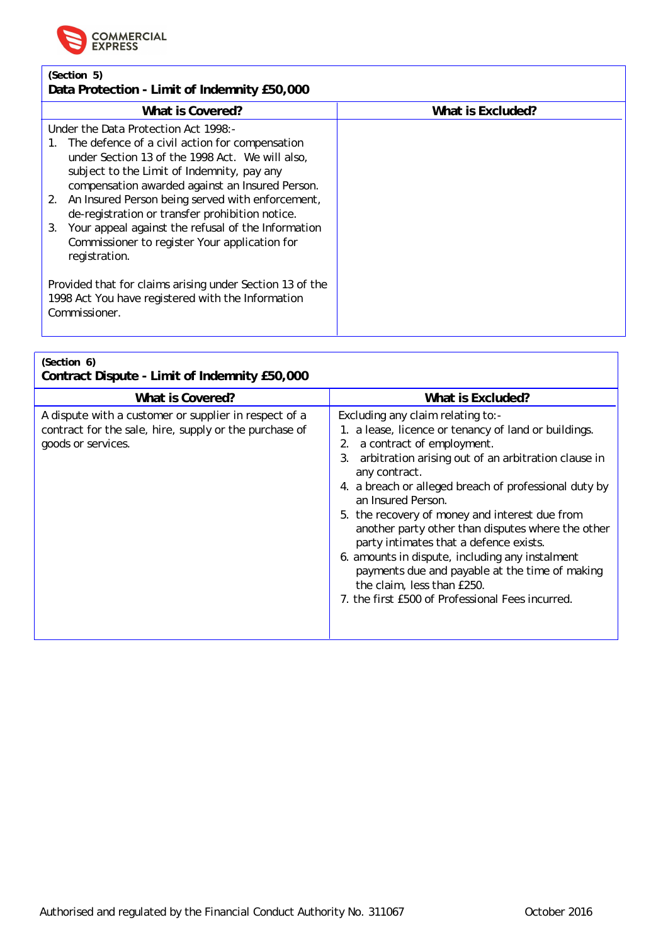

### **(Section 5) Data Protection - Limit of Indemnity £50,000**

| What is Covered?                                                                                                                                                                                                                                                                                                                                                                                                                                                                      | What is Excluded? |
|---------------------------------------------------------------------------------------------------------------------------------------------------------------------------------------------------------------------------------------------------------------------------------------------------------------------------------------------------------------------------------------------------------------------------------------------------------------------------------------|-------------------|
| Under the Data Protection Act 1998:-<br>The defence of a civil action for compensation<br>under Section 13 of the 1998 Act. We will also,<br>subject to the Limit of Indemnity, pay any<br>compensation awarded against an Insured Person.<br>An Insured Person being served with enforcement,<br>2.<br>de-registration or transfer prohibition notice.<br>Your appeal against the refusal of the Information<br>3.<br>Commissioner to register Your application for<br>registration. |                   |
| Provided that for claims arising under Section 13 of the<br>1998 Act You have registered with the Information<br>Commissioner.                                                                                                                                                                                                                                                                                                                                                        |                   |

| (Section 6)<br>Contract Dispute - Limit of Indemnity £50,000                                                                          |                                                                                                                                                                                                                                                                                                                                                                                                                                                                                                                                                                                                                                |
|---------------------------------------------------------------------------------------------------------------------------------------|--------------------------------------------------------------------------------------------------------------------------------------------------------------------------------------------------------------------------------------------------------------------------------------------------------------------------------------------------------------------------------------------------------------------------------------------------------------------------------------------------------------------------------------------------------------------------------------------------------------------------------|
| What is Covered?                                                                                                                      | What is Excluded?                                                                                                                                                                                                                                                                                                                                                                                                                                                                                                                                                                                                              |
| A dispute with a customer or supplier in respect of a<br>contract for the sale, hire, supply or the purchase of<br>goods or services. | Excluding any claim relating to:-<br>1. a lease, licence or tenancy of land or buildings.<br>2. a contract of employment.<br>arbitration arising out of an arbitration clause in<br>3.<br>any contract.<br>4. a breach or alleged breach of professional duty by<br>an Insured Person.<br>5. the recovery of money and interest due from<br>another party other than disputes where the other<br>party intimates that a defence exists.<br>6. amounts in dispute, including any instalment<br>payments due and payable at the time of making<br>the claim, less than £250.<br>7. the first £500 of Professional Fees incurred. |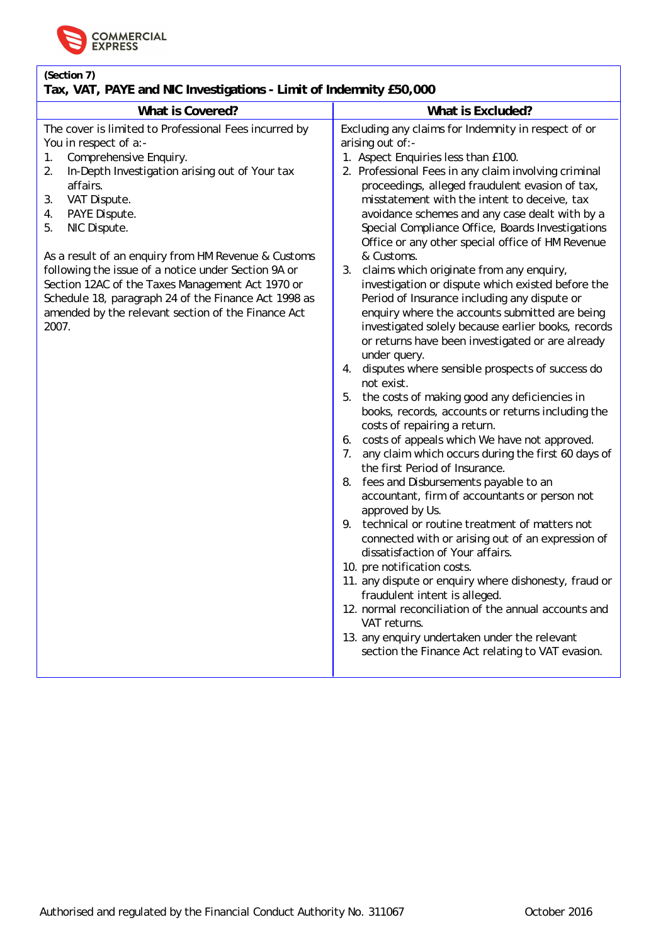

## **(Section 7)**

## **Tax, VAT, PAYE and NIC Investigations - Limit of Indemnity £50,000**

| What is Covered?                                                                                                                                                                                                                                                                                                                                                                                                                                                                                                                               | What is Excluded?                                                                                                                                                                                                                                                                                                                                                                                                                                                                                                                                                                                                                                                                                                                                                                                                                                                                                                                                                                                                                                                                                                                                                                                                                                                                                                                                                                                                                                                                                                                                                                                                                                                                                                               |
|------------------------------------------------------------------------------------------------------------------------------------------------------------------------------------------------------------------------------------------------------------------------------------------------------------------------------------------------------------------------------------------------------------------------------------------------------------------------------------------------------------------------------------------------|---------------------------------------------------------------------------------------------------------------------------------------------------------------------------------------------------------------------------------------------------------------------------------------------------------------------------------------------------------------------------------------------------------------------------------------------------------------------------------------------------------------------------------------------------------------------------------------------------------------------------------------------------------------------------------------------------------------------------------------------------------------------------------------------------------------------------------------------------------------------------------------------------------------------------------------------------------------------------------------------------------------------------------------------------------------------------------------------------------------------------------------------------------------------------------------------------------------------------------------------------------------------------------------------------------------------------------------------------------------------------------------------------------------------------------------------------------------------------------------------------------------------------------------------------------------------------------------------------------------------------------------------------------------------------------------------------------------------------------|
| The cover is limited to Professional Fees incurred by<br>You in respect of a:-<br>Comprehensive Enquiry.<br>1.<br>2.<br>In-Depth Investigation arising out of Your tax<br>affairs.<br>VAT Dispute.<br>3.<br>PAYE Dispute.<br>4.<br>NIC Dispute.<br>5.<br>As a result of an enquiry from HM Revenue & Customs<br>following the issue of a notice under Section 9A or<br>Section 12AC of the Taxes Management Act 1970 or<br>Schedule 18, paragraph 24 of the Finance Act 1998 as<br>amended by the relevant section of the Finance Act<br>2007. | Excluding any claims for Indemnity in respect of or<br>arising out of:-<br>1. Aspect Enquiries less than £100.<br>2. Professional Fees in any claim involving criminal<br>proceedings, alleged fraudulent evasion of tax,<br>misstatement with the intent to deceive, tax<br>avoidance schemes and any case dealt with by a<br>Special Compliance Office, Boards Investigations<br>Office or any other special office of HM Revenue<br>& Customs.<br>claims which originate from any enquiry,<br>3.<br>investigation or dispute which existed before the<br>Period of Insurance including any dispute or<br>enquiry where the accounts submitted are being<br>investigated solely because earlier books, records<br>or returns have been investigated or are already<br>under query.<br>disputes where sensible prospects of success do<br>4.<br>not exist.<br>5.<br>the costs of making good any deficiencies in<br>books, records, accounts or returns including the<br>costs of repairing a return.<br>6. costs of appeals which We have not approved.<br>any claim which occurs during the first 60 days of<br>7.<br>the first Period of Insurance.<br>fees and Disbursements payable to an<br>8.<br>accountant, firm of accountants or person not<br>approved by Us.<br>technical or routine treatment of matters not<br>9.<br>connected with or arising out of an expression of<br>dissatisfaction of Your affairs.<br>10. pre notification costs.<br>11. any dispute or enquiry where dishonesty, fraud or<br>fraudulent intent is alleged.<br>12. normal reconciliation of the annual accounts and<br>VAT returns.<br>13. any enquiry undertaken under the relevant<br>section the Finance Act relating to VAT evasion. |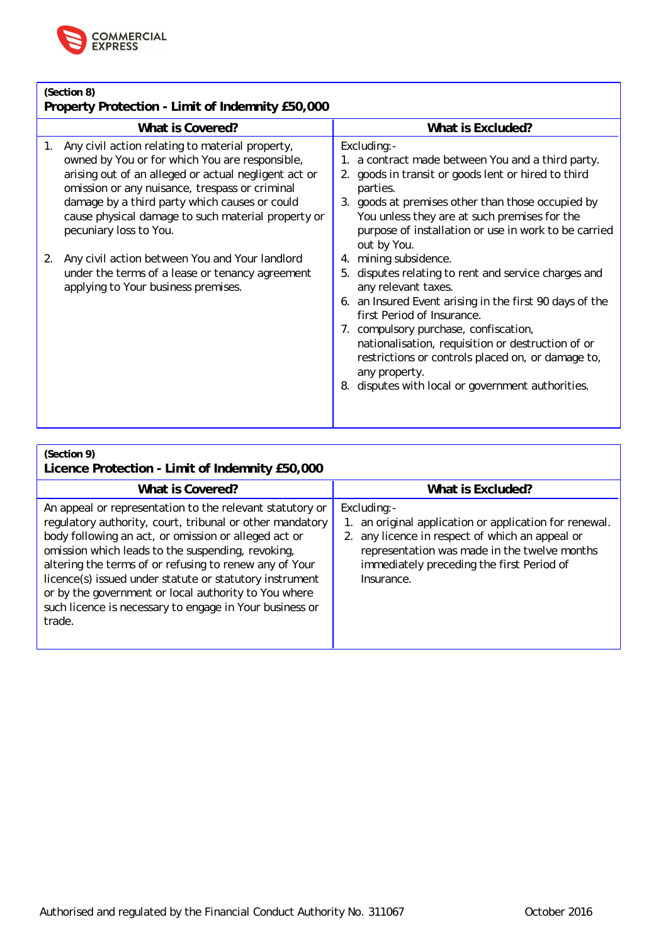

| (Section 8)<br>Property Protection - Limit of Indemnity £50,000                                                                                                                                                                                                                                                          |                                                                                                                                                                                                                                                                                                                                                                                                                        |  |
|--------------------------------------------------------------------------------------------------------------------------------------------------------------------------------------------------------------------------------------------------------------------------------------------------------------------------|------------------------------------------------------------------------------------------------------------------------------------------------------------------------------------------------------------------------------------------------------------------------------------------------------------------------------------------------------------------------------------------------------------------------|--|
| What is Covered?                                                                                                                                                                                                                                                                                                         | What is Excluded?                                                                                                                                                                                                                                                                                                                                                                                                      |  |
| Any civil action relating to material property,<br>1.<br>owned by You or for which You are responsible,<br>arising out of an alleged or actual negligent act or<br>omission or any nuisance, trespass or criminal<br>damage by a third party which causes or could<br>cause physical damage to such material property or | Excluding:-<br>1. a contract made between You and a third party.<br>2. goods in transit or goods lent or hired to third<br>parties.<br>3. goods at premises other than those occupied by<br>You unless they are at such premises for the                                                                                                                                                                               |  |
| pecuniary loss to You.                                                                                                                                                                                                                                                                                                   | purpose of installation or use in work to be carried<br>out by You.                                                                                                                                                                                                                                                                                                                                                    |  |
| Any civil action between You and Your landlord<br>2.<br>under the terms of a lease or tenancy agreement<br>applying to Your business premises.                                                                                                                                                                           | 4. mining subsidence.<br>5. disputes relating to rent and service charges and<br>any relevant taxes.<br>6. an Insured Event arising in the first 90 days of the<br>first Period of Insurance.<br>7. compulsory purchase, confiscation,<br>nationalisation, requisition or destruction of or<br>restrictions or controls placed on, or damage to,<br>any property.<br>8. disputes with local or government authorities. |  |
|                                                                                                                                                                                                                                                                                                                          |                                                                                                                                                                                                                                                                                                                                                                                                                        |  |

**(Section 9)**

# **Licence Protection - Limit of Indemnity £50,000**

| What is Covered?                                                                                                                                                                                                                                                                                                                                                                                                                                                                    | What is Excluded?                                                                                                                                                                                                                   |
|-------------------------------------------------------------------------------------------------------------------------------------------------------------------------------------------------------------------------------------------------------------------------------------------------------------------------------------------------------------------------------------------------------------------------------------------------------------------------------------|-------------------------------------------------------------------------------------------------------------------------------------------------------------------------------------------------------------------------------------|
| An appeal or representation to the relevant statutory or<br>regulatory authority, court, tribunal or other mandatory<br>body following an act, or omission or alleged act or<br>omission which leads to the suspending, revoking,<br>altering the terms of or refusing to renew any of Your<br>licence(s) issued under statute or statutory instrument<br>or by the government or local authority to You where<br>such licence is necessary to engage in Your business or<br>trade. | Excluding:-<br>1. an original application or application for renewal.<br>2. any licence in respect of which an appeal or<br>representation was made in the twelve months<br>immediately preceding the first Period of<br>Insurance. |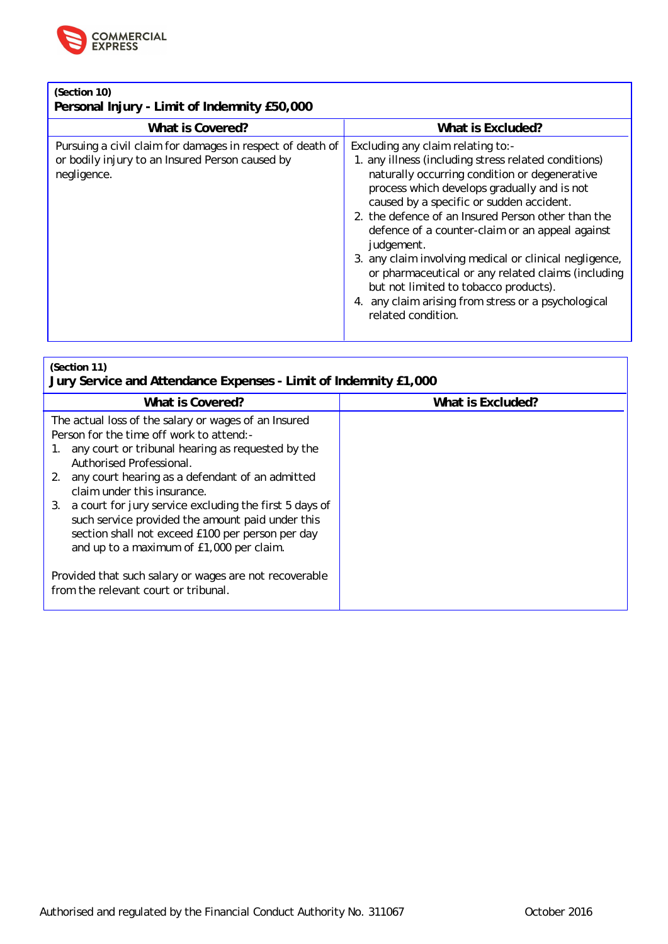

**(Section 10)**

**Personal Injury - Limit of Indemnity £50,000**

| What is Covered?                                                                                                            | What is Excluded?                                                                                                                                                                                                                                                                                                                                                                                                                                                                                                                                                                                  |
|-----------------------------------------------------------------------------------------------------------------------------|----------------------------------------------------------------------------------------------------------------------------------------------------------------------------------------------------------------------------------------------------------------------------------------------------------------------------------------------------------------------------------------------------------------------------------------------------------------------------------------------------------------------------------------------------------------------------------------------------|
| Pursuing a civil claim for damages in respect of death of<br>or bodily injury to an Insured Person caused by<br>negligence. | Excluding any claim relating to:-<br>1. any illness (including stress related conditions)<br>naturally occurring condition or degenerative<br>process which develops gradually and is not<br>caused by a specific or sudden accident.<br>2. the defence of an Insured Person other than the<br>defence of a counter-claim or an appeal against<br>judgement.<br>3. any claim involving medical or clinical negligence,<br>or pharmaceutical or any related claims (including<br>but not limited to tobacco products).<br>4. any claim arising from stress or a psychological<br>related condition. |

### **(Section 11)**

**Jury Service and Attendance Expenses - Limit of Indemnity £1,000 What is Covered? What is Excluded?**

| The actual loss of the salary or wages of an Insured<br>Person for the time off work to attend:-                                                                                                              |  |
|---------------------------------------------------------------------------------------------------------------------------------------------------------------------------------------------------------------|--|
| any court or tribunal hearing as requested by the<br>Authorised Professional.                                                                                                                                 |  |
| 2. any court hearing as a defendant of an admitted<br>claim under this insurance.                                                                                                                             |  |
| 3. a court for jury service excluding the first 5 days of<br>such service provided the amount paid under this<br>section shall not exceed £100 per person per day<br>and up to a maximum of £1,000 per claim. |  |
| Provided that such salary or wages are not recoverable<br>from the relevant court or tribunal.                                                                                                                |  |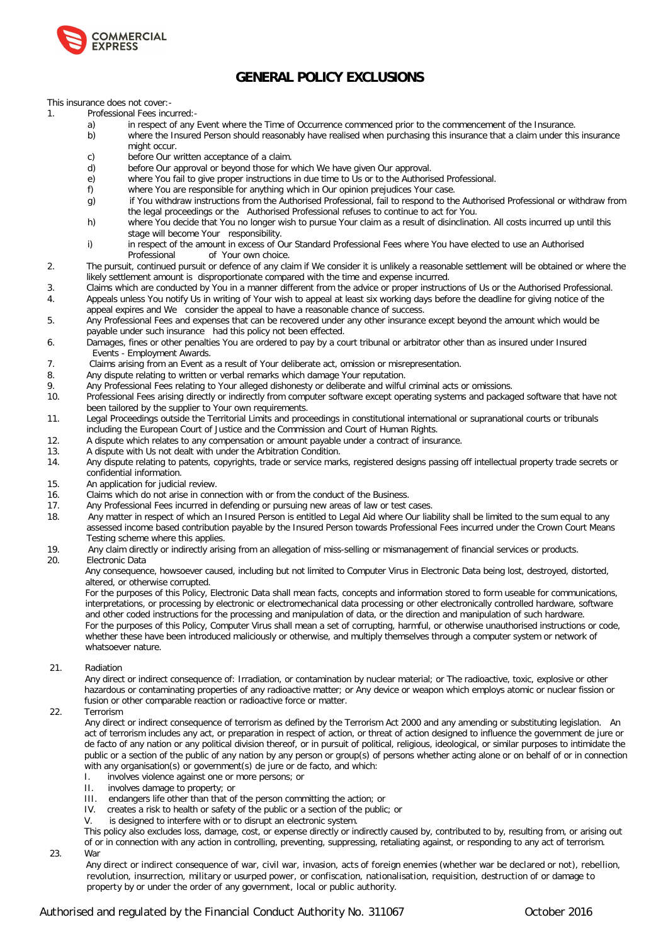

## **GENERAL POLICY EXCLUSIONS**

This insurance does not cover:-

- 1. Professional Fees incurred:
	- a) in respect of any Event where the Time of Occurrence commenced prior to the commencement of the Insurance.
	- b) where the Insured Person should reasonably have realised when purchasing this insurance that a claim under this insurance might occur.
	- c) before Our written acceptance of a claim.
	- d) before Our approval or beyond those for which We have given Our approval.
	- e) where You fail to give proper instructions in due time to Us or to the Authorised Professional.
	- f) where You are responsible for anything which in Our opinion prejudices Your case.
	- g) if You withdraw instructions from the Authorised Professional, fail to respond to the Authorised Professional or withdraw from the legal proceedings or the Authorised Professional refuses to continue to act for You.
	- h) where You decide that You no longer wish to pursue Your claim as a result of disinclination. All costs incurred up until this stage will become Your responsibility.
	- i) in respect of the amount in excess of Our Standard Professional Fees where You have elected to use an Authorised<br>Professional of Your own choice. of Your own choice.
- 2. The pursuit, continued pursuit or defence of any claim if We consider it is unlikely a reasonable settlement will be obtained or where the likely settlement amount is disproportionate compared with the time and expense incurred.
- 3. Claims which are conducted by You in a manner different from the advice or proper instructions of Us or the Authorised Professional. 4. Appeals unless You notify Us in writing of Your wish to appeal at least six working days before the deadline for giving notice of the appeal expires and We consider the appeal to have a reasonable chance of success.
- 5. Any Professional Fees and expenses that can be recovered under any other insurance except beyond the amount which would be payable under such insurance had this policy not been effected.
- 6. Damages, fines or other penalties You are ordered to pay by a court tribunal or arbitrator other than as insured under Insured Events - Employment Awards.<br>Claims arising from an Event as
- 7. Claims arising from an Event as a result of Your deliberate act, omission or misrepresentation.<br>8. Any dispute relating to written or verbal remarks which damage Your reputation.
- Any dispute relating to written or verbal remarks which damage Your reputation.
- 9. Any Professional Fees relating to Your alleged dishonesty or deliberate and wilful criminal acts or omissions.<br>10. Professional Fees arising directly or indirectly from computer software except operating systems and pac
- Professional Fees arising directly or indirectly from computer software except operating systems and packaged software that have not been tailored by the supplier to Your own requirements.
- 11. Legal Proceedings outside the Territorial Limits and proceedings in constitutional international or supranational courts or tribunals including the European Court of Justice and the Commission and Court of Human Rights.
- 12. A dispute which relates to any compensation or amount payable under a contract of insurance.
- 13. A dispute with Us not dealt with under the Arbitration Condition.
- 14. Any dispute relating to patents, copyrights, trade or service marks, registered designs passing off intellectual property trade secrets or confidential information.
- 15. An application for judicial review.
- 16. Claims which do not arise in connection with or from the conduct of the Business.
- 17. Any Professional Fees incurred in defending or pursuing new areas of law or test cases.
- 18. Any matter in respect of which an Insured Person is entitled to Legal Aid where Our liability shall be limited to the sum equal to any assessed income based contribution payable by the Insured Person towards Professional Fees incurred under the Crown Court Means Testing scheme where this applies.
- 19. Any claim directly or indirectly arising from an allegation of miss-selling or mismanagement of financial services or products.
- Electronic Data

Any consequence, howsoever caused, including but not limited to Computer Virus in Electronic Data being lost, destroyed, distorted, altered, or otherwise corrupted.

For the purposes of this Policy, Electronic Data shall mean facts, concepts and information stored to form useable for communications, interpretations, or processing by electronic or electromechanical data processing or other electronically controlled hardware, software and other coded instructions for the processing and manipulation of data, or the direction and manipulation of such hardware. For the purposes of this Policy, Computer Virus shall mean a set of corrupting, harmful, or otherwise unauthorised instructions or code, whether these have been introduced maliciously or otherwise, and multiply themselves through a computer system or network of whatsoever nature.

### 21. Radiation

 Any direct or indirect consequence of: Irradiation, or contamination by nuclear material; or The radioactive, toxic, explosive or other hazardous or contaminating properties of any radioactive matter; or Any device or weapon which employs atomic or nuclear fission or fusion or other comparable reaction or radioactive force or matter.

### 22. Terrorism

 Any direct or indirect consequence of terrorism as defined by the Terrorism Act 2000 and any amending or substituting legislation. An act of terrorism includes any act, or preparation in respect of action, or threat of action designed to influence the government de jure or de facto of any nation or any political division thereof, or in pursuit of political, religious, ideological, or similar purposes to intimidate the public or a section of the public of any nation by any person or group(s) of persons whether acting alone or on behalf of or in connection with any organisation(s) or government(s) de jure or de facto, and which:

- I. involves violence against one or more persons; or
- II. involves damage to property; or
- III. endangers life other than that of the person committing the action; or
- IV. creates a risk to health or safety of the public or a section of the public; or
- V. is designed to interfere with or to disrupt an electronic system.

This policy also excludes loss, damage, cost, or expense directly or indirectly caused by, contributed to by, resulting from, or arising out of or in connection with any action in controlling, preventing, suppressing, retaliating against, or responding to any act of terrorism.

23. War

 Any direct or indirect consequence of war, civil war, invasion, acts of foreign enemies (whether war be declared or not), rebellion, revolution, insurrection, military or usurped power, or confiscation, nationalisation, requisition, destruction of or damage to property by or under the order of any government, local or public authority.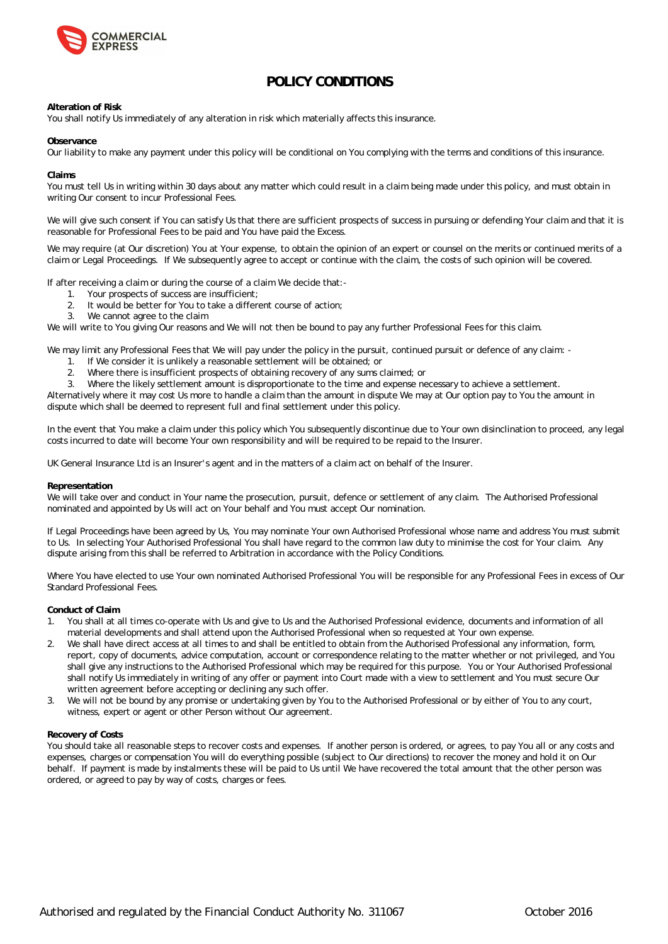

## **POLICY CONDITIONS**

**Alteration of Risk**

You shall notify Us immediately of any alteration in risk which materially affects this insurance.

**Observance**

Our liability to make any payment under this policy will be conditional on You complying with the terms and conditions of this insurance.

**Claims**

You must tell Us in writing within 30 days about any matter which could result in a claim being made under this policy, and must obtain in writing Our consent to incur Professional Fees.

We will give such consent if You can satisfy Us that there are sufficient prospects of success in pursuing or defending Your claim and that it is reasonable for Professional Fees to be paid and You have paid the Excess.

We may require (at Our discretion) You at Your expense, to obtain the opinion of an expert or counsel on the merits or continued merits of a claim or Legal Proceedings. If We subsequently agree to accept or continue with the claim, the costs of such opinion will be covered.

If after receiving a claim or during the course of a claim We decide that:-

- 1. Your prospects of success are insufficient;
- 2. It would be better for You to take a different course of action;
- 3. We cannot agree to the claim

We will write to You giving Our reasons and We will not then be bound to pay any further Professional Fees for this claim.

We may limit any Professional Fees that We will pay under the policy in the pursuit, continued pursuit or defence of any claim: -

- 1. If We consider it is unlikely a reasonable settlement will be obtained; or
- 2. Where there is insufficient prospects of obtaining recovery of any sums claimed; or
- 3. Where the likely settlement amount is disproportionate to the time and expense necessary to achieve a settlement.

Alternatively where it may cost Us more to handle a claim than the amount in dispute We may at Our option pay to You the amount in dispute which shall be deemed to represent full and final settlement under this policy.

In the event that You make a claim under this policy which You subsequently discontinue due to Your own disinclination to proceed, any legal costs incurred to date will become Your own responsibility and will be required to be repaid to the Insurer.

UK General Insurance Ltd is an Insurer' s agent and in the matters of a claim act on behalf of the Insurer.

### **Representation**

We will take over and conduct in Your name the prosecution, pursuit, defence or settlement of any claim. The Authorised Professional nominated and appointed by Us will act on Your behalf and You must accept Our nomination.

If Legal Proceedings have been agreed by Us, You may nominate Your own Authorised Professional whose name and address You must submit to Us. In selecting Your Authorised Professional You shall have regard to the common law duty to minimise the cost for Your claim. Any dispute arising from this shall be referred to Arbitration in accordance with the Policy Conditions.

Where You have elected to use Your own nominated Authorised Professional You will be responsible for any Professional Fees in excess of Our Standard Professional Fees.

**Conduct of Claim**

- 1. You shall at all times co-operate with Us and give to Us and the Authorised Professional evidence, documents and information of all material developments and shall attend upon the Authorised Professional when so requested at Your own expense.
- 2. We shall have direct access at all times to and shall be entitled to obtain from the Authorised Professional any information, form, report, copy of documents, advice computation, account or correspondence relating to the matter whether or not privileged, and You shall give any instructions to the Authorised Professional which may be required for this purpose. You or Your Authorised Professional shall notify Us immediately in writing of any offer or payment into Court made with a view to settlement and You must secure Our written agreement before accepting or declining any such offer.
- 3. We will not be bound by any promise or undertaking given by You to the Authorised Professional or by either of You to any court, witness, expert or agent or other Person without Our agreement.

### **Recovery of Costs**

You should take all reasonable steps to recover costs and expenses. If another person is ordered, or agrees, to pay You all or any costs and expenses, charges or compensation You will do everything possible (subject to Our directions) to recover the money and hold it on Our behalf. If payment is made by instalments these will be paid to Us until We have recovered the total amount that the other person was ordered, or agreed to pay by way of costs, charges or fees.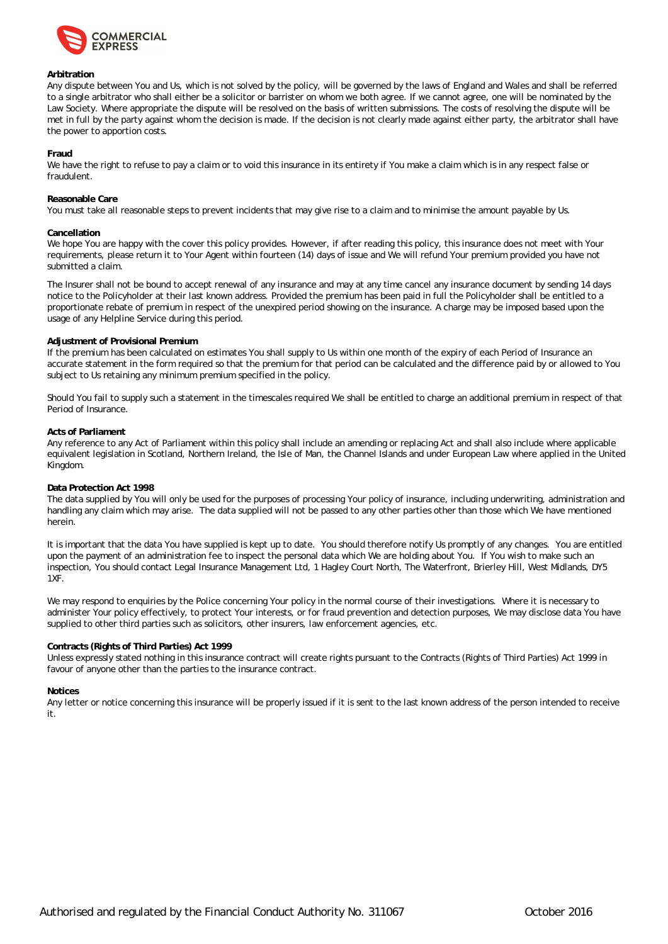

### **Arbitration**

Any dispute between You and Us, which is not solved by the policy, will be governed by the laws of England and Wales and shall be referred to a single arbitrator who shall either be a solicitor or barrister on whom we both agree. If we cannot agree, one will be nominated by the Law Society. Where appropriate the dispute will be resolved on the basis of written submissions. The costs of resolving the dispute will be met in full by the party against whom the decision is made. If the decision is not clearly made against either party, the arbitrator shall have the power to apportion costs.

#### **Fraud**

We have the right to refuse to pay a claim or to void this insurance in its entirety if You make a claim which is in any respect false or fraudulent.

#### **Reasonable Care**

You must take all reasonable steps to prevent incidents that may give rise to a claim and to minimise the amount payable by Us.

#### **Cancellation**

We hope You are happy with the cover this policy provides. However, if after reading this policy, this insurance does not meet with Your requirements, please return it to Your Agent within fourteen (14) days of issue and We will refund Your premium provided you have not submitted a claim.

The Insurer shall not be bound to accept renewal of any insurance and may at any time cancel any insurance document by sending 14 days notice to the Policyholder at their last known address. Provided the premium has been paid in full the Policyholder shall be entitled to a proportionate rebate of premium in respect of the unexpired period showing on the insurance. A charge may be imposed based upon the usage of any Helpline Service during this period.

### **Adjustment of Provisional Premium**

If the premium has been calculated on estimates You shall supply to Us within one month of the expiry of each Period of Insurance an accurate statement in the form required so that the premium for that period can be calculated and the difference paid by or allowed to You subject to Us retaining any minimum premium specified in the policy.

Should You fail to supply such a statement in the timescales required We shall be entitled to charge an additional premium in respect of that Period of Insurance.

#### **Acts of Parliament**

Any reference to any Act of Parliament within this policy shall include an amending or replacing Act and shall also include where applicable equivalent legislation in Scotland, Northern Ireland, the Isle of Man, the Channel Islands and under European Law where applied in the United Kingdom.

### **Data Protection Act 1998**

The data supplied by You will only be used for the purposes of processing Your policy of insurance, including underwriting, administration and handling any claim which may arise. The data supplied will not be passed to any other parties other than those which We have mentioned herein.

It is important that the data You have supplied is kept up to date. You should therefore notify Us promptly of any changes. You are entitled upon the payment of an administration fee to inspect the personal data which We are holding about You. If You wish to make such an inspection, You should contact Legal Insurance Management Ltd, 1 Hagley Court North, The Waterfront, Brierley Hill, West Midlands, DY5 1XF.

We may respond to enquiries by the Police concerning Your policy in the normal course of their investigations. Where it is necessary to administer Your policy effectively, to protect Your interests, or for fraud prevention and detection purposes, We may disclose data You have supplied to other third parties such as solicitors, other insurers, law enforcement agencies, etc.

### **Contracts (Rights of Third Parties) Act 1999**

Unless expressly stated nothing in this insurance contract will create rights pursuant to the Contracts (Rights of Third Parties) Act 1999 in favour of anyone other than the parties to the insurance contract.

#### **Notices**

Any letter or notice concerning this insurance will be properly issued if it is sent to the last known address of the person intended to receive it.